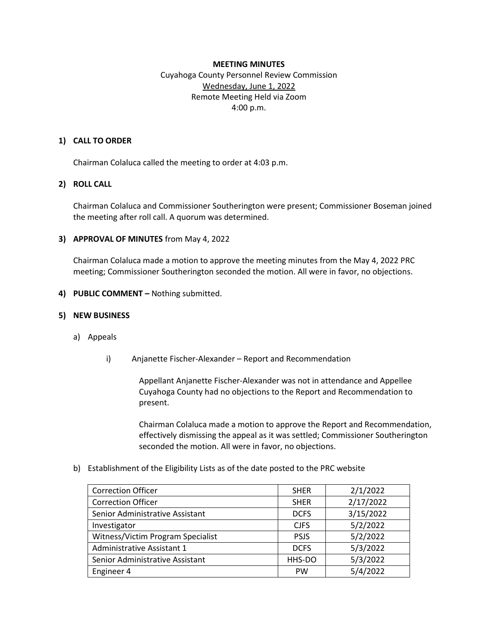### **MEETING MINUTES**

# Cuyahoga County Personnel Review Commission Wednesday, June 1, 2022 Remote Meeting Held via Zoom 4:00 p.m.

### **1) CALL TO ORDER**

Chairman Colaluca called the meeting to order at 4:03 p.m.

### **2) ROLL CALL**

Chairman Colaluca and Commissioner Southerington were present; Commissioner Boseman joined the meeting after roll call. A quorum was determined.

### **3) APPROVAL OF MINUTES** from May 4, 2022

Chairman Colaluca made a motion to approve the meeting minutes from the May 4, 2022 PRC meeting; Commissioner Southerington seconded the motion. All were in favor, no objections.

### **4) PUBLIC COMMENT –** Nothing submitted.

### **5) NEW BUSINESS**

- a) Appeals
	- i) Anjanette Fischer-Alexander Report and Recommendation

Appellant Anjanette Fischer-Alexander was not in attendance and Appellee Cuyahoga County had no objections to the Report and Recommendation to present.

Chairman Colaluca made a motion to approve the Report and Recommendation, effectively dismissing the appeal as it was settled; Commissioner Southerington seconded the motion. All were in favor, no objections.

## b) Establishment of the Eligibility Lists as of the date posted to the PRC website

| <b>Correction Officer</b>         | <b>SHER</b> | 2/1/2022  |
|-----------------------------------|-------------|-----------|
| <b>Correction Officer</b>         | <b>SHER</b> | 2/17/2022 |
| Senior Administrative Assistant   | <b>DCFS</b> | 3/15/2022 |
| Investigator                      | <b>CJFS</b> | 5/2/2022  |
| Witness/Victim Program Specialist | <b>PSJS</b> | 5/2/2022  |
| Administrative Assistant 1        | <b>DCFS</b> | 5/3/2022  |
| Senior Administrative Assistant   | HHS-DO      | 5/3/2022  |
| Engineer 4                        | <b>PW</b>   | 5/4/2022  |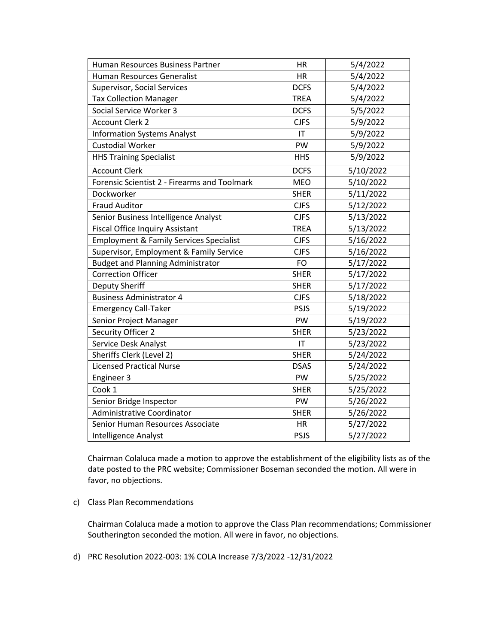| Human Resources Business Partner                   | <b>HR</b>   | 5/4/2022  |
|----------------------------------------------------|-------------|-----------|
| <b>Human Resources Generalist</b>                  | <b>HR</b>   | 5/4/2022  |
| Supervisor, Social Services                        | <b>DCFS</b> | 5/4/2022  |
| <b>Tax Collection Manager</b>                      | <b>TREA</b> | 5/4/2022  |
| Social Service Worker 3                            | <b>DCFS</b> | 5/5/2022  |
| <b>Account Clerk 2</b>                             | <b>CJFS</b> | 5/9/2022  |
| <b>Information Systems Analyst</b>                 | IT          | 5/9/2022  |
| <b>Custodial Worker</b>                            | PW          | 5/9/2022  |
| <b>HHS Training Specialist</b>                     | <b>HHS</b>  | 5/9/2022  |
| <b>Account Clerk</b>                               | <b>DCFS</b> | 5/10/2022 |
| Forensic Scientist 2 - Firearms and Toolmark       | <b>MEO</b>  | 5/10/2022 |
| Dockworker                                         | <b>SHER</b> | 5/11/2022 |
| <b>Fraud Auditor</b>                               | <b>CJFS</b> | 5/12/2022 |
| Senior Business Intelligence Analyst               | <b>CJFS</b> | 5/13/2022 |
| <b>Fiscal Office Inquiry Assistant</b>             | <b>TREA</b> | 5/13/2022 |
| <b>Employment &amp; Family Services Specialist</b> | <b>CJFS</b> | 5/16/2022 |
| Supervisor, Employment & Family Service            | <b>CJFS</b> | 5/16/2022 |
| <b>Budget and Planning Administrator</b>           | <b>FO</b>   | 5/17/2022 |
| <b>Correction Officer</b>                          | <b>SHER</b> | 5/17/2022 |
| Deputy Sheriff                                     | <b>SHER</b> | 5/17/2022 |
| <b>Business Administrator 4</b>                    | <b>CJFS</b> | 5/18/2022 |
| <b>Emergency Call-Taker</b>                        | PSJS        | 5/19/2022 |
| Senior Project Manager                             | PW          | 5/19/2022 |
| Security Officer 2                                 | <b>SHER</b> | 5/23/2022 |
| Service Desk Analyst                               | IT          | 5/23/2022 |
| Sheriffs Clerk (Level 2)                           | <b>SHER</b> | 5/24/2022 |
| <b>Licensed Practical Nurse</b>                    | <b>DSAS</b> | 5/24/2022 |
| Engineer 3                                         | PW          | 5/25/2022 |
| Cook 1                                             | <b>SHER</b> | 5/25/2022 |
| Senior Bridge Inspector                            | PW          | 5/26/2022 |
| <b>Administrative Coordinator</b>                  | <b>SHER</b> | 5/26/2022 |
| Senior Human Resources Associate                   | <b>HR</b>   | 5/27/2022 |
| Intelligence Analyst                               | PSJS        | 5/27/2022 |

Chairman Colaluca made a motion to approve the establishment of the eligibility lists as of the date posted to the PRC website; Commissioner Boseman seconded the motion. All were in favor, no objections.

c) Class Plan Recommendations

Chairman Colaluca made a motion to approve the Class Plan recommendations; Commissioner Southerington seconded the motion. All were in favor, no objections.

d) PRC Resolution 2022-003: 1% COLA Increase 7/3/2022 -12/31/2022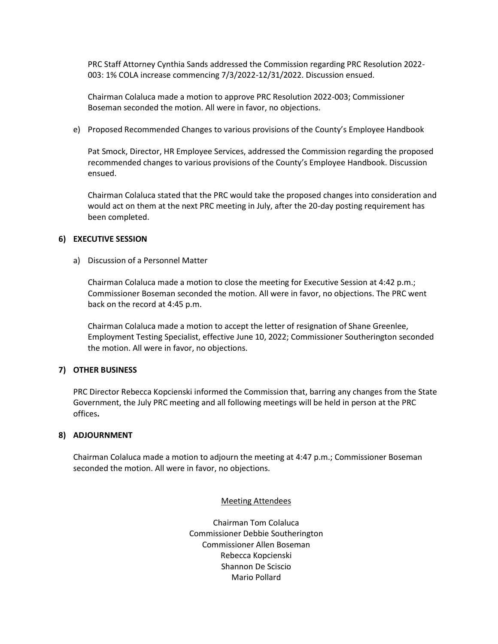PRC Staff Attorney Cynthia Sands addressed the Commission regarding PRC Resolution 2022- 003: 1% COLA increase commencing 7/3/2022-12/31/2022. Discussion ensued.

Chairman Colaluca made a motion to approve PRC Resolution 2022-003; Commissioner Boseman seconded the motion. All were in favor, no objections.

e) Proposed Recommended Changes to various provisions of the County's Employee Handbook

Pat Smock, Director, HR Employee Services, addressed the Commission regarding the proposed recommended changes to various provisions of the County's Employee Handbook. Discussion ensued.

Chairman Colaluca stated that the PRC would take the proposed changes into consideration and would act on them at the next PRC meeting in July, after the 20-day posting requirement has been completed.

### **6) EXECUTIVE SESSION**

a) Discussion of a Personnel Matter

Chairman Colaluca made a motion to close the meeting for Executive Session at 4:42 p.m.; Commissioner Boseman seconded the motion. All were in favor, no objections. The PRC went back on the record at 4:45 p.m.

Chairman Colaluca made a motion to accept the letter of resignation of Shane Greenlee, Employment Testing Specialist, effective June 10, 2022; Commissioner Southerington seconded the motion. All were in favor, no objections.

## **7) OTHER BUSINESS**

PRC Director Rebecca Kopcienski informed the Commission that, barring any changes from the State Government, the July PRC meeting and all following meetings will be held in person at the PRC offices**.**

## **8) ADJOURNMENT**

Chairman Colaluca made a motion to adjourn the meeting at 4:47 p.m.; Commissioner Boseman seconded the motion. All were in favor, no objections.

## Meeting Attendees

Chairman Tom Colaluca Commissioner Debbie Southerington Commissioner Allen Boseman Rebecca Kopcienski Shannon De Sciscio Mario Pollard